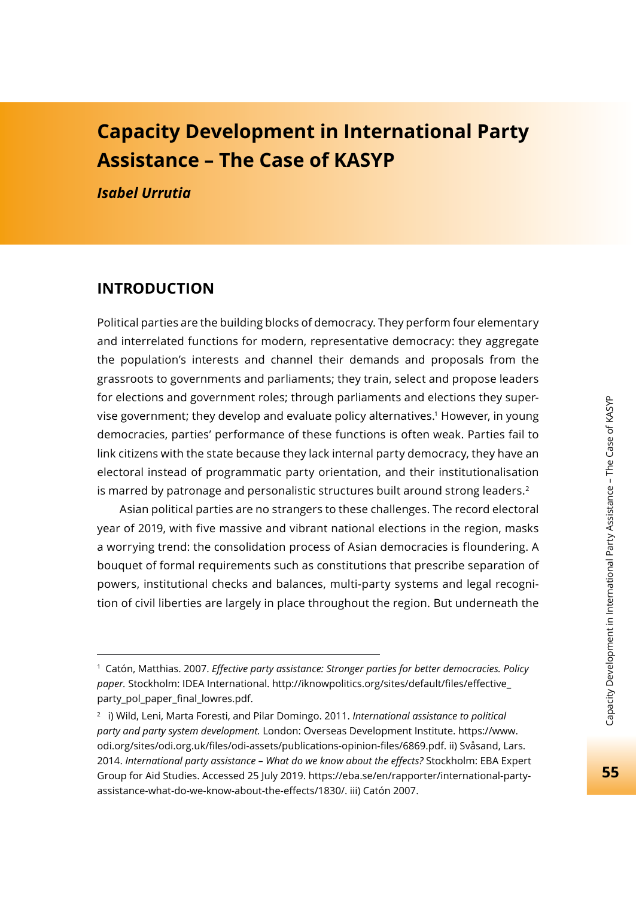# **Capacity Development in International Party Assistance – The Case of KASYP**

*Isabel Urrutia*

#### **INTRODUCTION**

Political parties are the building blocks of democracy. They perform four elementary and interrelated functions for modern, representative democracy: they aggregate the population's interests and channel their demands and proposals from the grassroots to governments and parliaments; they train, select and propose leaders for elections and government roles; through parliaments and elections they supervise government; they develop and evaluate policy alternatives.1 However, in young democracies, parties' performance of these functions is often weak. Parties fail to link citizens with the state because they lack internal party democracy, they have an electoral instead of programmatic party orientation, and their institutionalisation is marred by patronage and personalistic structures built around strong leaders.<sup>2</sup>

Asian political parties are no strangers to these challenges. The record electoral year of 2019, with five massive and vibrant national elections in the region, masks a worrying trend: the consolidation process of Asian democracies is floundering. A bouquet of formal requirements such as constitutions that prescribe separation of powers, institutional checks and balances, multi-party systems and legal recognition of civil liberties are largely in place throughout the region. But underneath the

<sup>1</sup> Catón, Matthias. 2007. *Eff ective party assistance: Stronger parties for better democracies. Policy*  paper. Stockholm: IDEA International. http://iknowpolitics.org/sites/default/files/effective party\_pol\_paper\_final\_lowres.pdf.

<sup>2</sup> i) Wild, Leni, Marta Foresti, and Pilar Domingo. 2011. *International assistance to political party and party system development.* London: Overseas Development Institute. https://www. odi.org/sites/odi.org.uk/files/odi-assets/publications-opinion-files/6869.pdf. ii) Svåsand, Lars. 2014. *International party assistance – What do we know about the eff ects?* Stockholm: EBA Expert Group for Aid Studies. Accessed 25 July 2019. https://eba.se/en/rapporter/international-partyassistance-what-do-we-know-about-the-effects/1830/. iii) Catón 2007.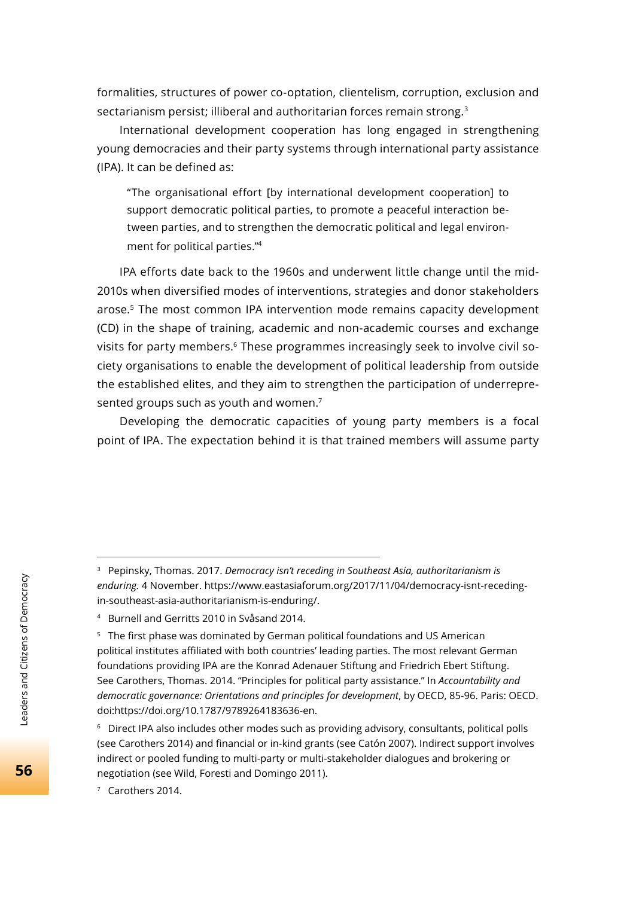formalities, structures of power co-optation, clientelism, corruption, exclusion and sectarianism persist; illiberal and authoritarian forces remain strong.<sup>3</sup>

International development cooperation has long engaged in strengthening young democracies and their party systems through international party assistance (IPA). It can be defined as:

"The organisational effort [by international development cooperation] to support democratic political parties, to promote a peaceful interaction between parties, and to strengthen the democratic political and legal environment for political parties."4

IPA efforts date back to the 1960s and underwent little change until the mid-2010s when diversified modes of interventions, strategies and donor stakeholders arose.5 The most common IPA intervention mode remains capacity development (CD) in the shape of training, academic and non-academic courses and exchange visits for party members.<sup>6</sup> These programmes increasingly seek to involve civil society organisations to enable the development of political leadership from outside the established elites, and they aim to strengthen the participation of underrepresented groups such as youth and women.<sup>7</sup>

Developing the democratic capacities of young party members is a focal point of IPA. The expectation behind it is that trained members will assume party

7 Carothers 2014.

<sup>3</sup> Pepinsky, Thomas. 2017. *Democracy isn't receding in Southeast Asia, authoritarianism is enduring.* 4 November. https://www.eastasiaforum.org/2017/11/04/democracy-isnt-recedingin-southeast-asia-authoritarianism-is-enduring/.

<sup>4</sup> Burnell and Gerritts 2010 in Svåsand 2014.

<sup>&</sup>lt;sup>5</sup> The first phase was dominated by German political foundations and US American political institutes affiliated with both countries' leading parties. The most relevant German foundations providing IPA are the Konrad Adenauer Stiftung and Friedrich Ebert Stiftung. See Carothers, Thomas. 2014. "Principles for political party assistance." In *Accountability and democratic governance: Orientations and principles for development*, by OECD, 85-96. Paris: OECD. doi:https://doi.org/10.1787/9789264183636-en.

 $6$  Direct IPA also includes other modes such as providing advisory, consultants, political polls (see Carothers 2014) and financial or in-kind grants (see Catón 2007). Indirect support involves indirect or pooled funding to multi-party or multi-stakeholder dialogues and brokering or negotiation (see Wild, Foresti and Domingo 2011).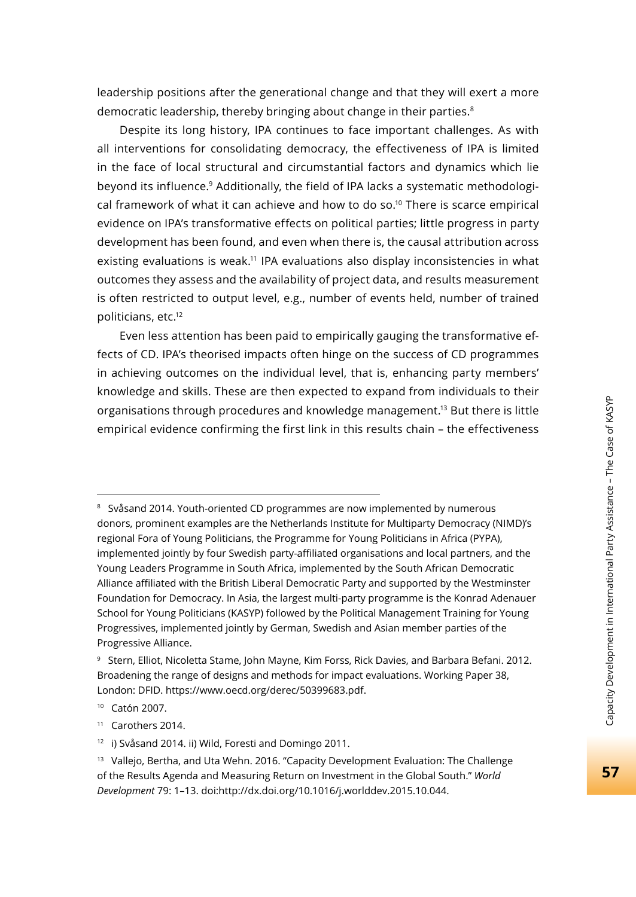leadership positions after the generational change and that they will exert a more democratic leadership, thereby bringing about change in their parties.<sup>8</sup>

Despite its long history, IPA continues to face important challenges. As with all interventions for consolidating democracy, the effectiveness of IPA is limited in the face of local structural and circumstantial factors and dynamics which lie beyond its influence.9 Additionally, the field of IPA lacks a systematic methodological framework of what it can achieve and how to do so.<sup>10</sup> There is scarce empirical evidence on IPA's transformative effects on political parties; little progress in party development has been found, and even when there is, the causal attribution across existing evaluations is weak.11 IPA evaluations also display inconsistencies in what outcomes they assess and the availability of project data, and results measurement is often restricted to output level, e.g., number of events held, number of trained politicians, etc.12

Even less attention has been paid to empirically gauging the transformative effects of CD. IPA's theorised impacts often hinge on the success of CD programmes in achieving outcomes on the individual level, that is, enhancing party members' knowledge and skills. These are then expected to expand from individuals to their organisations through procedures and knowledge management.13 But there is little empirical evidence confirming the first link in this results chain – the effectiveness

10 Catón 2007.

<sup>8</sup> Svåsand 2014. Youth-oriented CD programmes are now implemented by numerous donors, prominent examples are the Netherlands Institute for Multiparty Democracy (NIMD)'s regional Fora of Young Politicians, the Programme for Young Politicians in Africa (PYPA), implemented jointly by four Swedish party-affiliated organisations and local partners, and the Young Leaders Programme in South Africa, implemented by the South African Democratic Alliance affiliated with the British Liberal Democratic Party and supported by the Westminster Foundation for Democracy. In Asia, the largest multi-party programme is the Konrad Adenauer School for Young Politicians (KASYP) followed by the Political Management Training for Young Progressives, implemented jointly by German, Swedish and Asian member parties of the Progressive Alliance.

<sup>9</sup> Stern, Elliot, Nicoletta Stame, John Mayne, Kim Forss, Rick Davies, and Barbara Befani. 2012. Broadening the range of designs and methods for impact evaluations. Working Paper 38, London: DFID. https://www.oecd.org/derec/50399683.pdf.

<sup>11</sup> Carothers 2014.

<sup>12</sup> i) Svåsand 2014. ii) Wild, Foresti and Domingo 2011.

<sup>&</sup>lt;sup>13</sup> Vallejo, Bertha, and Uta Wehn. 2016. "Capacity Development Evaluation: The Challenge of the Results Agenda and Measuring Return on Investment in the Global South." *World Development* 79: 1–13. doi:http://dx.doi.org/10.1016/j.worlddev.2015.10.044.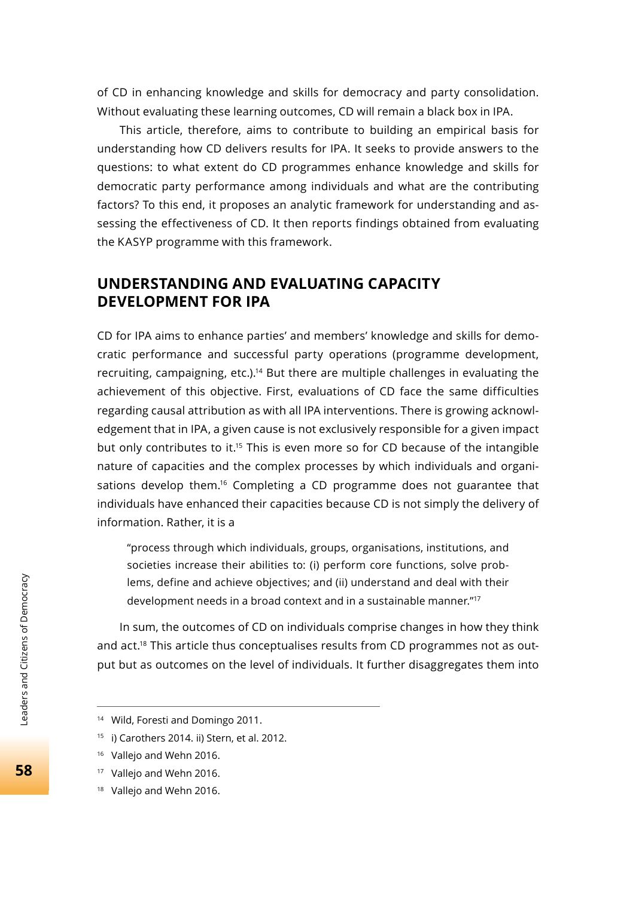of CD in enhancing knowledge and skills for democracy and party consolidation. Without evaluating these learning outcomes, CD will remain a black box in IPA.

This article, therefore, aims to contribute to building an empirical basis for understanding how CD delivers results for IPA. It seeks to provide answers to the questions: to what extent do CD programmes enhance knowledge and skills for democratic party performance among individuals and what are the contributing factors? To this end, it proposes an analytic framework for understanding and assessing the effectiveness of CD. It then reports findings obtained from evaluating the KASYP programme with this framework.

### **UNDERSTANDING AND EVALUATING CAPACITY DEVELOPMENT FOR IPA**

CD for IPA aims to enhance parties' and members' knowledge and skills for democratic performance and successful party operations (programme development, recruiting, campaigning, etc.).<sup>14</sup> But there are multiple challenges in evaluating the achievement of this objective. First, evaluations of CD face the same difficulties regarding causal attribution as with all IPA interventions. There is growing acknowledgement that in IPA, a given cause is not exclusively responsible for a given impact but only contributes to it.<sup>15</sup> This is even more so for CD because of the intangible nature of capacities and the complex processes by which individuals and organisations develop them.<sup>16</sup> Completing a CD programme does not guarantee that individuals have enhanced their capacities because CD is not simply the delivery of information. Rather, it is a

"process through which individuals, groups, organisations, institutions, and societies increase their abilities to: (i) perform core functions, solve problems, define and achieve objectives; and (ii) understand and deal with their development needs in a broad context and in a sustainable manner."17

In sum, the outcomes of CD on individuals comprise changes in how they think and act.<sup>18</sup> This article thus conceptualises results from CD programmes not as output but as outcomes on the level of individuals. It further disaggregates them into

<sup>&</sup>lt;sup>14</sup> Wild, Foresti and Domingo 2011.

<sup>15</sup> i) Carothers 2014. ii) Stern, et al. 2012.

<sup>&</sup>lt;sup>16</sup> Vallejo and Wehn 2016.

<sup>&</sup>lt;sup>17</sup> Vallejo and Wehn 2016.

<sup>&</sup>lt;sup>18</sup> Vallejo and Wehn 2016.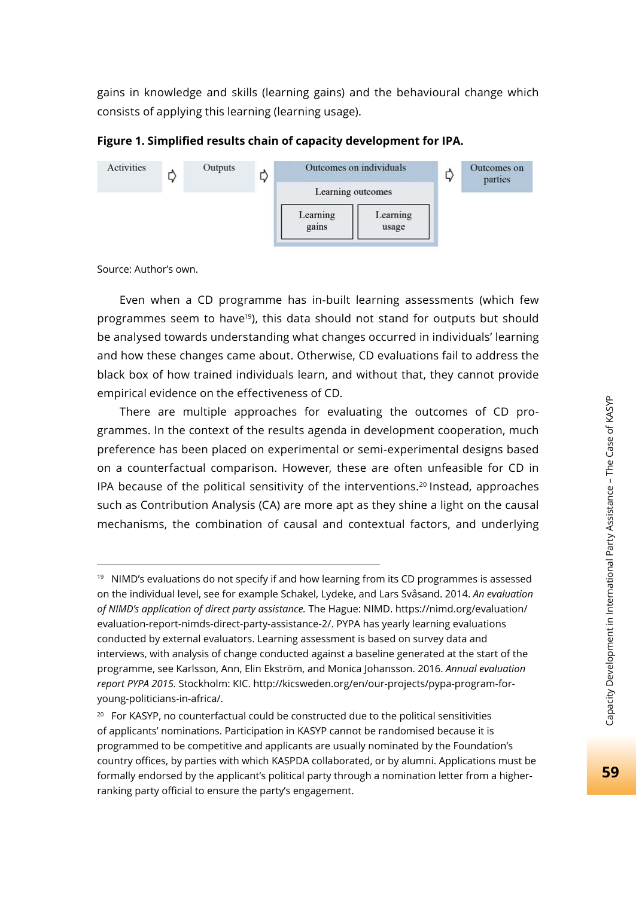gains in knowledge and skills (learning gains) and the behavioural change which consists of applying this learning (learning usage).

**Figure 1. Simplified results chain of capacity development for IPA.** 



Source: Author's own.

Even when a CD programme has in-built learning assessments (which few programmes seem to have<sup>19</sup>), this data should not stand for outputs but should be analysed towards understanding what changes occurred in individuals' learning and how these changes came about. Otherwise, CD evaluations fail to address the black box of how trained individuals learn, and without that, they cannot provide empirical evidence on the effectiveness of CD.

There are multiple approaches for evaluating the outcomes of CD programmes. In the context of the results agenda in development cooperation, much preference has been placed on experimental or semi-experimental designs based on a counterfactual comparison. However, these are often unfeasible for CD in IPA because of the political sensitivity of the interventions.<sup>20</sup> Instead, approaches such as Contribution Analysis (CA) are more apt as they shine a light on the causal mechanisms, the combination of causal and contextual factors, and underlying

 $19$  NIMD's evaluations do not specify if and how learning from its CD programmes is assessed on the individual level, see for example Schakel, Lydeke, and Lars Svåsand. 2014. *An evaluation of NIMD's application of direct party assistance.* The Hague: NIMD. https://nimd.org/evaluation/ evaluation-report-nimds-direct-party-assistance-2/. PYPA has yearly learning evaluations conducted by external evaluators. Learning assessment is based on survey data and interviews, with analysis of change conducted against a baseline generated at the start of the programme, see Karlsson, Ann, Elin Ekström, and Monica Johansson. 2016. *Annual evaluation report PYPA 2015.* Stockholm: KIC. http://kicsweden.org/en/our-projects/pypa-program-foryoung-politicians-in-africa/.

<sup>&</sup>lt;sup>20</sup> For KASYP, no counterfactual could be constructed due to the political sensitivities of applicants' nominations. Participation in KASYP cannot be randomised because it is programmed to be competitive and applicants are usually nominated by the Foundation's country offices, by parties with which KASPDA collaborated, or by alumni. Applications must be formally endorsed by the applicant's political party through a nomination letter from a higherranking party official to ensure the party's engagement.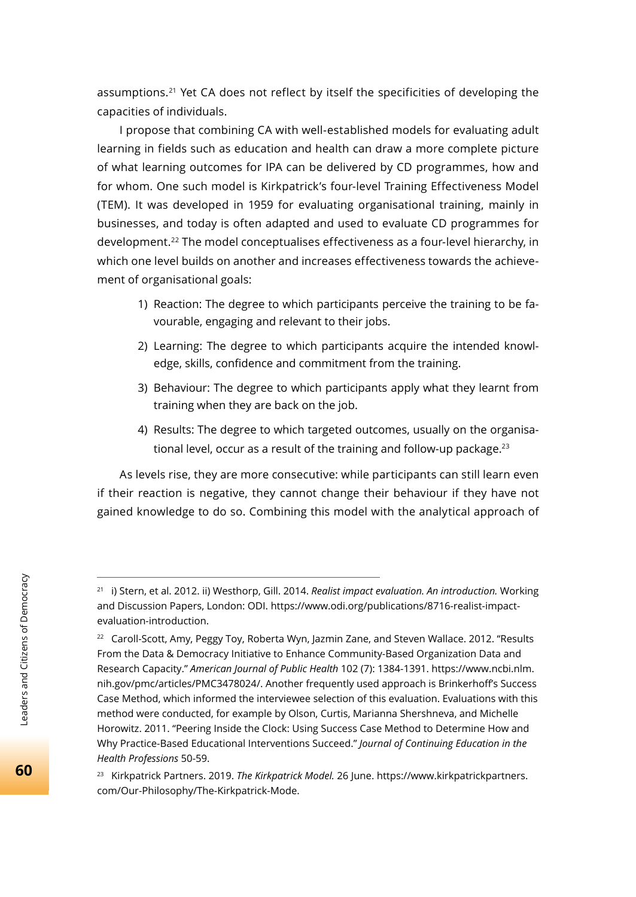assumptions.<sup>21</sup> Yet CA does not reflect by itself the specificities of developing the capacities of individuals.

I propose that combining CA with well-established models for evaluating adult learning in fields such as education and health can draw a more complete picture of what learning outcomes for IPA can be delivered by CD programmes, how and for whom. One such model is Kirkpatrick's four-level Training Effectiveness Model (TEM). It was developed in 1959 for evaluating organisational training, mainly in businesses, and today is often adapted and used to evaluate CD programmes for development.22 The model conceptualises effectiveness as a four-level hierarchy, in which one level builds on another and increases effectiveness towards the achievement of organisational goals:

- 1) Reaction: The degree to which participants perceive the training to be favourable, engaging and relevant to their jobs.
- 2) Learning: The degree to which participants acquire the intended knowledge, skills, confidence and commitment from the training.
- 3) Behaviour: The degree to which participants apply what they learnt from training when they are back on the job.
- 4) Results: The degree to which targeted outcomes, usually on the organisational level, occur as a result of the training and follow-up package.<sup>23</sup>

As levels rise, they are more consecutive: while participants can still learn even if their reaction is negative, they cannot change their behaviour if they have not gained knowledge to do so. Combining this model with the analytical approach of

<sup>21</sup> i) Stern, et al. 2012. ii) Westhorp, Gill. 2014. *Realist impact evaluation. An introduction.* Working and Discussion Papers, London: ODI. https://www.odi.org/publications/8716-realist-impactevaluation-introduction.

<sup>&</sup>lt;sup>22</sup> Caroll-Scott, Amy, Peggy Toy, Roberta Wyn, Jazmin Zane, and Steven Wallace. 2012. "Results From the Data & Democracy Initiative to Enhance Community-Based Organization Data and Research Capacity." *American Journal of Public Health* 102 (7): 1384-1391. https://www.ncbi.nlm. nih.gov/pmc/articles/PMC3478024/. Another frequently used approach is Brinkerhoff's Success Case Method, which informed the interviewee selection of this evaluation. Evaluations with this method were conducted, for example by Olson, Curtis, Marianna Shershneva, and Michelle Horowitz. 2011. "Peering Inside the Clock: Using Success Case Method to Determine How and Why Practice-Based Educational Interventions Succeed." *Journal of Continuing Education in the Health Professions* 50-59.

<sup>23</sup> Kirkpatrick Partners. 2019. *The Kirkpatrick Model.* 26 June. https://www.kirkpatrickpartners. com/Our-Philosophy/The-Kirkpatrick-Mode.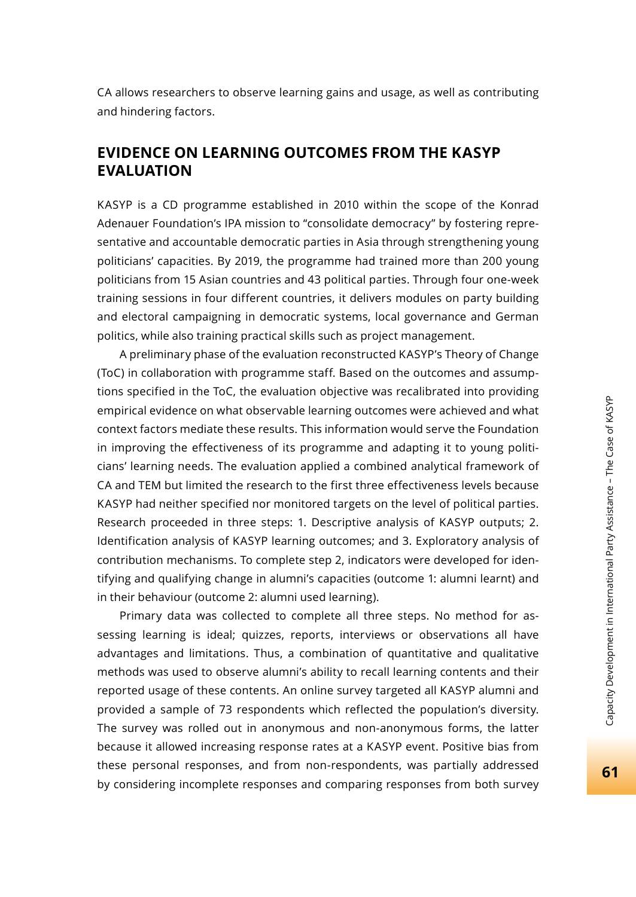CA allows researchers to observe learning gains and usage, as well as contributing and hindering factors.

### **EVIDENCE ON LEARNING OUTCOMES FROM THE KASYP EVALUATION**

KASYP is a CD programme established in 2010 within the scope of the Konrad Adenauer Foundation's IPA mission to "consolidate democracy" by fostering representative and accountable democratic parties in Asia through strengthening young politicians' capacities. By 2019, the programme had trained more than 200 young politicians from 15 Asian countries and 43 political parties. Through four one-week training sessions in four different countries, it delivers modules on party building and electoral campaigning in democratic systems, local governance and German politics, while also training practical skills such as project management.

A preliminary phase of the evaluation reconstructed KASYP's Theory of Change (ToC) in collaboration with programme staff. Based on the outcomes and assumptions specified in the ToC, the evaluation objective was recalibrated into providing empirical evidence on what observable learning outcomes were achieved and what context factors mediate these results. This information would serve the Foundation in improving the effectiveness of its programme and adapting it to young politicians' learning needs. The evaluation applied a combined analytical framework of CA and TEM but limited the research to the first three effectiveness levels because KASYP had neither specified nor monitored targets on the level of political parties. Research proceeded in three steps: 1. Descriptive analysis of KASYP outputs; 2. Identification analysis of KASYP learning outcomes; and 3. Exploratory analysis of contribution mechanisms. To complete step 2, indicators were developed for identifying and qualifying change in alumni's capacities (outcome 1: alumni learnt) and in their behaviour (outcome 2: alumni used learning).

Primary data was collected to complete all three steps. No method for assessing learning is ideal; quizzes, reports, interviews or observations all have advantages and limitations. Thus, a combination of quantitative and qualitative methods was used to observe alumni's ability to recall learning contents and their reported usage of these contents. An online survey targeted all KASYP alumni and provided a sample of 73 respondents which reflected the population's diversity. The survey was rolled out in anonymous and non-anonymous forms, the latter because it allowed increasing response rates at a KASYP event. Positive bias from these personal responses, and from non-respondents, was partially addressed by considering incomplete responses and comparing responses from both survey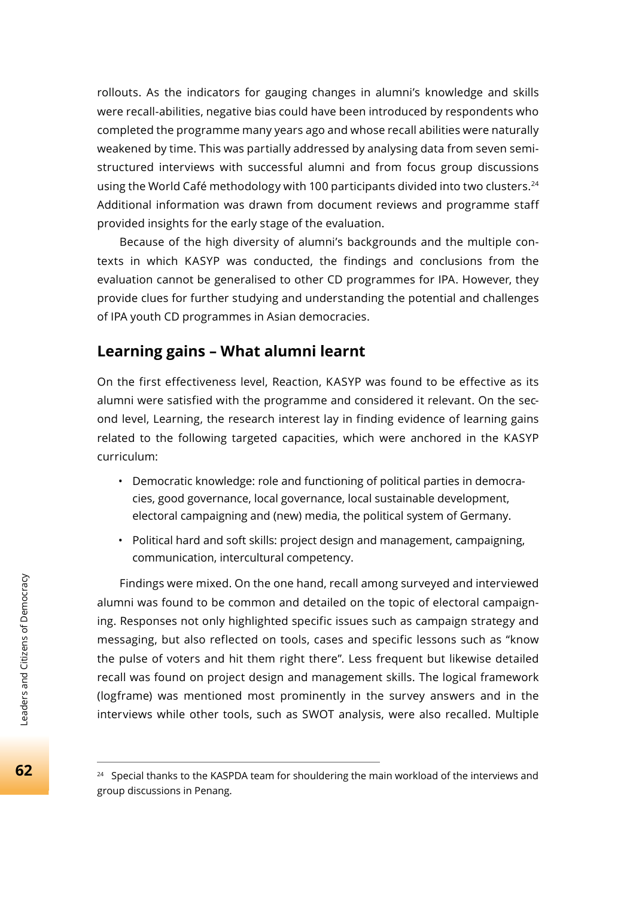rollouts. As the indicators for gauging changes in alumni's knowledge and skills were recall-abilities, negative bias could have been introduced by respondents who completed the programme many years ago and whose recall abilities were naturally weakened by time. This was partially addressed by analysing data from seven semistructured interviews with successful alumni and from focus group discussions using the World Café methodology with 100 participants divided into two clusters.<sup>24</sup> Additional information was drawn from document reviews and programme staff provided insights for the early stage of the evaluation.

Because of the high diversity of alumni's backgrounds and the multiple contexts in which KASYP was conducted, the findings and conclusions from the evaluation cannot be generalised to other CD programmes for IPA. However, they provide clues for further studying and understanding the potential and challenges of IPA youth CD programmes in Asian democracies.

## **Learning gains – What alumni learnt**

On the first effectiveness level, Reaction, KASYP was found to be effective as its alumni were satisfied with the programme and considered it relevant. On the second level, Learning, the research interest lay in finding evidence of learning gains related to the following targeted capacities, which were anchored in the KASYP curriculum:

- Democratic knowledge: role and functioning of political parties in democracies, good governance, local governance, local sustainable development, electoral campaigning and (new) media, the political system of Germany.
- Political hard and soft skills: project design and management, campaigning, communication, intercultural competency.

Findings were mixed. On the one hand, recall among surveyed and interviewed alumni was found to be common and detailed on the topic of electoral campaigning. Responses not only highlighted specific issues such as campaign strategy and messaging, but also reflected on tools, cases and specific lessons such as "know the pulse of voters and hit them right there". Less frequent but likewise detailed recall was found on project design and management skills. The logical framework (logframe) was mentioned most prominently in the survey answers and in the interviews while other tools, such as SWOT analysis, were also recalled. Multiple

<sup>&</sup>lt;sup>24</sup> Special thanks to the KASPDA team for shouldering the main workload of the interviews and group discussions in Penang.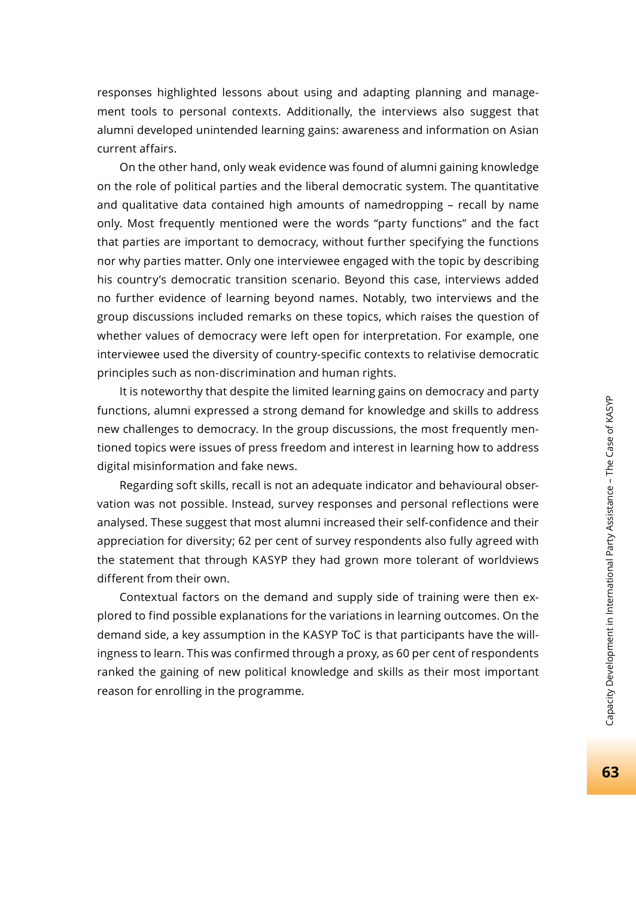responses highlighted lessons about using and adapting planning and management tools to personal contexts. Additionally, the interviews also suggest that alumni developed unintended learning gains: awareness and information on Asian current affairs.

On the other hand, only weak evidence was found of alumni gaining knowledge on the role of political parties and the liberal democratic system. The quantitative and qualitative data contained high amounts of namedropping – recall by name only. Most frequently mentioned were the words "party functions" and the fact that parties are important to democracy, without further specifying the functions nor why parties matter. Only one interviewee engaged with the topic by describing his country's democratic transition scenario. Beyond this case, interviews added no further evidence of learning beyond names. Notably, two interviews and the group discussions included remarks on these topics, which raises the question of whether values of democracy were left open for interpretation. For example, one interviewee used the diversity of country-specific contexts to relativise democratic principles such as non-discrimination and human rights.

It is noteworthy that despite the limited learning gains on democracy and party functions, alumni expressed a strong demand for knowledge and skills to address new challenges to democracy. In the group discussions, the most frequently mentioned topics were issues of press freedom and interest in learning how to address digital misinformation and fake news.

Regarding soft skills, recall is not an adequate indicator and behavioural observation was not possible. Instead, survey responses and personal reflections were analysed. These suggest that most alumni increased their self-confidence and their appreciation for diversity; 62 per cent of survey respondents also fully agreed with the statement that through KASYP they had grown more tolerant of worldviews different from their own.

Contextual factors on the demand and supply side of training were then explored to find possible explanations for the variations in learning outcomes. On the demand side, a key assumption in the KASYP ToC is that participants have the willingness to learn. This was confirmed through a proxy, as 60 per cent of respondents ranked the gaining of new political knowledge and skills as their most important reason for enrolling in the programme.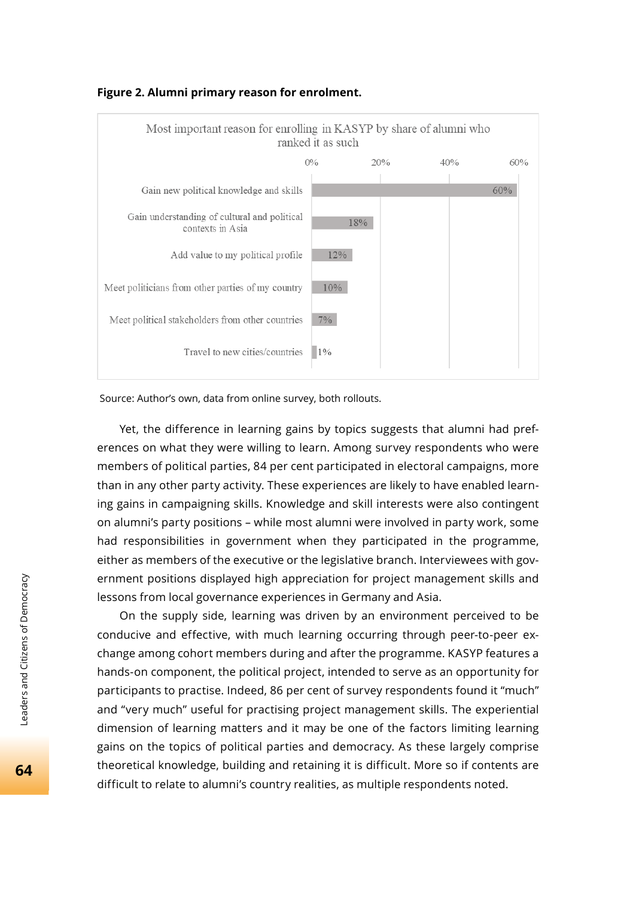

#### **Figure 2. Alumni primary reason for enrolment.**

Source: Author's own, data from online survey, both rollouts.

Yet, the difference in learning gains by topics suggests that alumni had preferences on what they were willing to learn. Among survey respondents who were members of political parties, 84 per cent participated in electoral campaigns, more than in any other party activity. These experiences are likely to have enabled learning gains in campaigning skills. Knowledge and skill interests were also contingent on alumni's party positions – while most alumni were involved in party work, some had responsibilities in government when they participated in the programme, either as members of the executive or the legislative branch. Interviewees with government positions displayed high appreciation for project management skills and lessons from local governance experiences in Germany and Asia.

On the supply side, learning was driven by an environment perceived to be conducive and effective, with much learning occurring through peer-to-peer exchange among cohort members during and after the programme. KASYP features a hands-on component, the political project, intended to serve as an opportunity for participants to practise. Indeed, 86 per cent of survey respondents found it "much" and "very much" useful for practising project management skills. The experiential dimension of learning matters and it may be one of the factors limiting learning gains on the topics of political parties and democracy. As these largely comprise theoretical knowledge, building and retaining it is difficult. More so if contents are difficult to relate to alumni's country realities, as multiple respondents noted.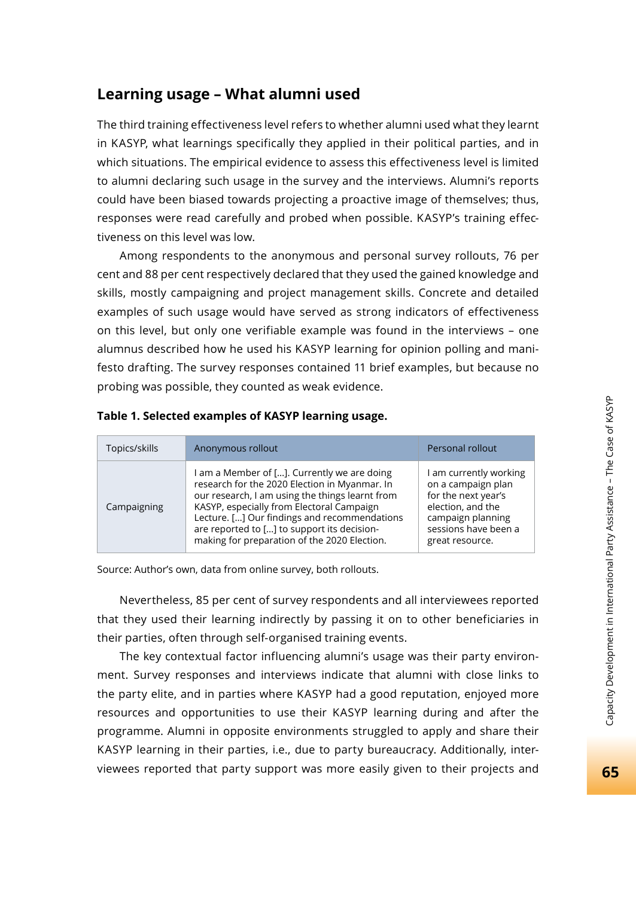The third training effectiveness level refers to whether alumni used what they learnt in KASYP, what learnings specifically they applied in their political parties, and in which situations. The empirical evidence to assess this effectiveness level is limited to alumni declaring such usage in the survey and the interviews. Alumni's reports could have been biased towards projecting a proactive image of themselves; thus, responses were read carefully and probed when possible. KASYP's training effectiveness on this level was low.

Among respondents to the anonymous and personal survey rollouts, 76 per cent and 88 per cent respectively declared that they used the gained knowledge and skills, mostly campaigning and project management skills. Concrete and detailed examples of such usage would have served as strong indicators of effectiveness on this level, but only one verifiable example was found in the interviews – one alumnus described how he used his KASYP learning for opinion polling and manifesto drafting. The survey responses contained 11 brief examples, but because no probing was possible, they counted as weak evidence.

| Topics/skills | Anonymous rollout                                                                                                                                                                                                                                                                                                                           | Personal rollout                                                                                                                                         |
|---------------|---------------------------------------------------------------------------------------------------------------------------------------------------------------------------------------------------------------------------------------------------------------------------------------------------------------------------------------------|----------------------------------------------------------------------------------------------------------------------------------------------------------|
| Campaigning   | I am a Member of []. Currently we are doing<br>research for the 2020 Election in Myanmar. In<br>our research, I am using the things learnt from<br>KASYP, especially from Electoral Campaign<br>Lecture. [] Our findings and recommendations<br>are reported to [] to support its decision-<br>making for preparation of the 2020 Election. | I am currently working<br>on a campaign plan<br>for the next year's<br>election, and the<br>campaign planning<br>sessions have been a<br>great resource. |

#### **Table 1. Selected examples of KASYP learning usage.**

Source: Author's own, data from online survey, both rollouts.

Nevertheless, 85 per cent of survey respondents and all interviewees reported that they used their learning indirectly by passing it on to other beneficiaries in their parties, often through self-organised training events.

The key contextual factor influencing alumni's usage was their party environment. Survey responses and interviews indicate that alumni with close links to the party elite, and in parties where KASYP had a good reputation, enjoyed more resources and opportunities to use their KASYP learning during and after the programme. Alumni in opposite environments struggled to apply and share their KASYP learning in their parties, i.e., due to party bureaucracy. Additionally, interviewees reported that party support was more easily given to their projects and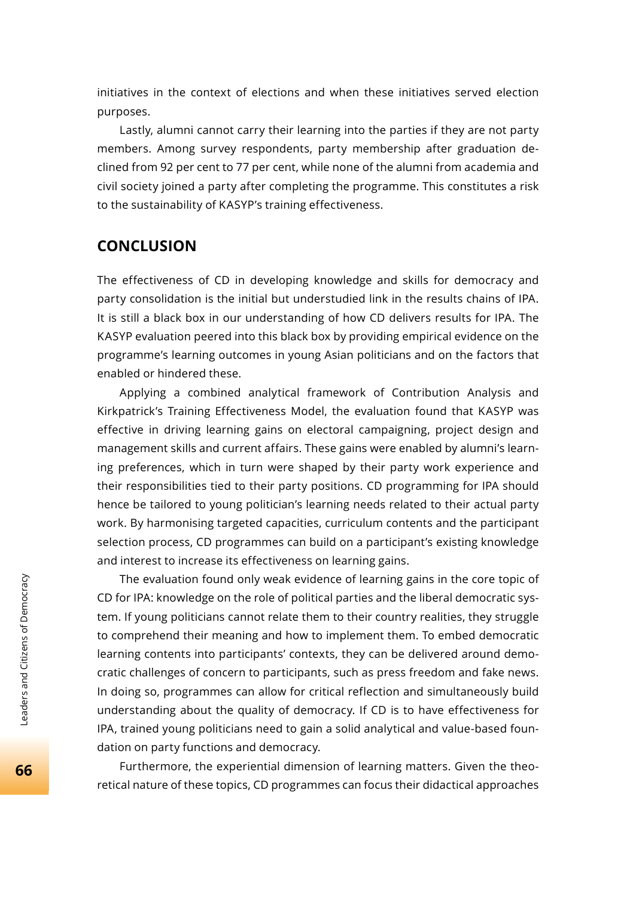initiatives in the context of elections and when these initiatives served election purposes.

Lastly, alumni cannot carry their learning into the parties if they are not party members. Among survey respondents, party membership after graduation declined from 92 per cent to 77 per cent, while none of the alumni from academia and civil society joined a party after completing the programme. This constitutes a risk to the sustainability of KASYP's training effectiveness.

#### **CONCLUSION**

The effectiveness of CD in developing knowledge and skills for democracy and party consolidation is the initial but understudied link in the results chains of IPA. It is still a black box in our understanding of how CD delivers results for IPA. The KASYP evaluation peered into this black box by providing empirical evidence on the programme's learning outcomes in young Asian politicians and on the factors that enabled or hindered these.

Applying a combined analytical framework of Contribution Analysis and Kirkpatrick's Training Effectiveness Model, the evaluation found that KASYP was effective in driving learning gains on electoral campaigning, project design and management skills and current affairs. These gains were enabled by alumni's learning preferences, which in turn were shaped by their party work experience and their responsibilities tied to their party positions. CD programming for IPA should hence be tailored to young politician's learning needs related to their actual party work. By harmonising targeted capacities, curriculum contents and the participant selection process, CD programmes can build on a participant's existing knowledge and interest to increase its effectiveness on learning gains.

The evaluation found only weak evidence of learning gains in the core topic of CD for IPA: knowledge on the role of political parties and the liberal democratic system. If young politicians cannot relate them to their country realities, they struggle to comprehend their meaning and how to implement them. To embed democratic learning contents into participants' contexts, they can be delivered around democratic challenges of concern to participants, such as press freedom and fake news. In doing so, programmes can allow for critical reflection and simultaneously build understanding about the quality of democracy. If CD is to have effectiveness for IPA, trained young politicians need to gain a solid analytical and value-based foundation on party functions and democracy.

Furthermore, the experiential dimension of learning matters. Given the theoretical nature of these topics, CD programmes can focus their didactical approaches